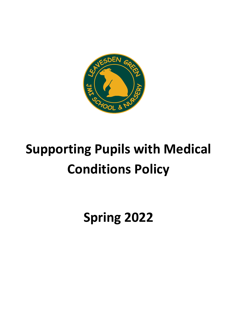

# **Supporting Pupils with Medical Conditions Policy**

**Spring 2022**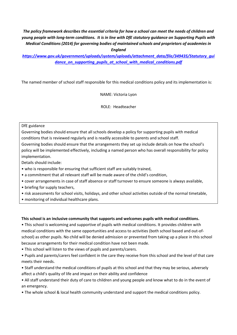*The policy framework describes the essential criteria for how a school can meet the needs of children and young people with long-term conditions. It is in line with DfE statutory guidance on Supporting Pupils with Medical Conditions (2014) for governing bodies of maintained schools and proprietors of academies in* 

*England*

*[https://www.gov.uk/government/uploads/system/uploads/attachment\\_data/file/349435/Statutory\\_gui](https://www.gov.uk/government/uploads/system/uploads/attachment_data/file/349435/Statutory_guidance_on_supporting_pupils_at_school_with_medical_conditions.pdf) [dance\\_on\\_supporting\\_pupils\\_at\\_school\\_with\\_medical\\_conditions.pdf](https://www.gov.uk/government/uploads/system/uploads/attachment_data/file/349435/Statutory_guidance_on_supporting_pupils_at_school_with_medical_conditions.pdf)*

The named member of school staff responsible for this medical conditions policy and its implementation is:

NAME: Victoria Lyon

ROLE: Headteacher

#### DfE guidance

Governing bodies should ensure that all schools develop a policy for supporting pupils with medical conditions that is reviewed regularly and is readily accessible to parents and school staff. Governing bodies should ensure that the arrangements they set up include details on how the school's

policy will be implemented effectively, including a named person who has overall responsibility for policy implementation.

Details should include:

- who is responsible for ensuring that sufficient staff are suitably trained,
- a commitment that all relevant staff will be made aware of the child's condition,
- cover arrangements in case of staff absence or staff turnover to ensure someone is always available,
- briefing for supply teachers,
- risk assessments for school visits, holidays, and other school activities outside of the normal timetable,
- monitoring of individual healthcare plans.

#### **This school is an inclusive community that supports and welcomes pupils with medical conditions.**

• This school is welcoming and supportive of pupils with medical conditions. It provides children with medical conditions with the same opportunities and access to activities (both school based and out-ofschool) as other pupils. No child will be denied admission or prevented from taking up a place in this school because arrangements for their medical condition have not been made.

- This school will listen to the views of pupils and parents/carers.
- Pupils and parents/carers feel confident in the care they receive from this school and the level of that care meets their needs.
- Staff understand the medical conditions of pupils at this school and that they may be serious, adversely affect a child's quality of life and impact on their ability and confidence
- All staff understand their duty of care to children and young people and know what to do in the event of an emergency.
- The whole school & local health community understand and support the medical conditions policy.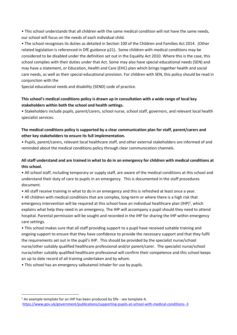• This school understands that all children with the same medical condition will not have the same needs, our school will focus on the needs of each individual child.

• The school recognises its duties as detailed in Section 100 of the Children and Families Act 2014. (Other related legislation is referenced in DfE guidance p21). Some children with medical conditions may be considered to be disabled under the definition set out in the Equality Act 2010. Where this is the case, this school complies with their duties under that Act. Some may also have special educational needs (SEN) and may have a statement, or Education, Health and Care (EHC) plan which brings together health and social care needs, as well as their special educational provision. For children with SEN, this policy should be read in conjunction with the

Special educational needs and disability (SEND) code of practice.

# **This school's medical conditions policy is drawn up in consultation with a wide range of local key stakeholders within both the school and health settings.**

• Stakeholders include pupils, parent/carers, school nurse, school staff, governors, and relevant local health specialist services.

# **The medical conditions policy is supported by a clear communication plan for staff, parent/carers and other key stakeholders to ensure its full implementation.**

• Pupils, parent/carers, relevant local healthcare staff, and other external stakeholders are informed of and reminded about the medical conditions policy through clear communication channels.

# **All staff understand and are trained in what to do in an emergency for children with medical conditions at this school.**

• All school staff, including temporary or supply staff, are aware of the medical conditions at this school and understand their duty of care to pupils in an emergency. This is documented in the staff procedures document.

• All staff receive training in what to do in an emergency and this is refreshed at least once a year.

• All children with medical conditions that are complex, long-term or where there is a high risk that emergency intervention will be required at this school have an individual healthcare plan  $(IHP)^1$ , which explains what help they need in an emergency. The IHP will accompany a pupil should they need to attend hospital. Parental permission will be sought and recorded in the IHP for sharing the IHP within emergency care settings.

• This school makes sure that all staff providing support to a pupil have received suitable training and ongoing support to ensure that they have confidence to provide the necessary support and that they fulfil the requirements set out in the pupil's IHP. This should be provided by the specialist nurse/school nurse/other suitably qualified healthcare professional and/or parent/carer. The specialist nurse/school nurse/other suitably qualified healthcare professional will confirm their competence and this school keeps an up to date record of all training undertaken and by whom.

• This school has an emergency salbutamol inhaler for use by pupils.

1

 $1$  An example template for an IHP has been produced by Dfe - see template A. <https://www.gov.uk/government/publications/supporting-pupils-at-school-with-medical-conditions--3>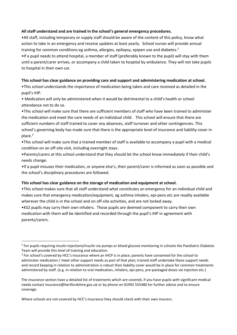#### **All staff understand and are trained in the school's general emergency procedures.**

•All staff, including temporary or supply staff should be aware of the content of this policy, know what action to take in an emergency and receive updates at least yearly. School nurses will provide annual training for common conditions eg asthma, allergies, epilepsy, epipen use and diabetes.<sup>2</sup> •If a pupil needs to attend hospital, a member of staff (preferably known to the pupil) will stay with them until a parent/carer arrives, or accompany a child taken to hospital by ambulance. They will not take pupils to hospital in their own car.

#### **This school has clear guidance on providing care and support and administering medication at school.**

•This school understands the importance of medication being taken and care received as detailed in the pupil's IHP.

• Medication will only be administered when it would be detrimental to a child's health or school attendance not to do so.

•This school will make sure that there are sufficient members of staff who have been trained to administer the medication and meet the care needs of an individual child. This school will ensure that there are sufficient numbers of staff trained to cover any absences, staff turnover and other contingencies. This school's governing body has made sure that there is the appropriate level of insurance and liability cover in place.<sup>3</sup>

•This school will make sure that a trained member of staff is available to accompany a pupil with a medical condition on an off-site visit, including overnight stays.

•Parents/carers at this school understand that they should let the school know immediately if their child's needs change.

•If a pupil misuses their medication, or anyone else's, their parent/carer is informed as soon as possible and the school's disciplinary procedures are followed.

#### **This school has clear guidance on the storage of medication and equipment at school.**

•This school makes sure that all staff understand what constitutes an emergency for an individual child and makes sure that emergency medication/equipment, eg asthma inhalers, epi-pens etc are readily available wherever the child is in the school and on off-site activities, and are not locked away.

•KS2 pupils may carry their own inhalers. Those pupils are deemed component to carry their own medication with them will be identified and recorded through the pupil's IHP in agreement with parents/carers.

Where schools are not covered by HCC's insurance they should check with their own insurers.

1

<sup>&</sup>lt;sup>2</sup> For pupils requiring insulin injections/insulin via pumps or blood glucose monitoring in schools the Paediatric Diabetes Team will provide this level of training and education.

<sup>&</sup>lt;sup>3</sup> For school's covered by HCC's insurance where an IHCP is in place; parents have consented for the school to administer medication / meet other support needs as part of that plan; trained staff undertake these support needs and record keeping in relation to administration is robust then liability cover would be in place for common treatments administered by staff. (e.g. in relation to oral medication, inhalers, epi-pens, pre-packaged doses via injection etc.)

The insurance section have a detailed list of treatments which are covered, if you have pupils with significant medical needs contact insurance@hertfordshire.gov.uk or by phone on 01992 555480 for further advice and to ensure coverage.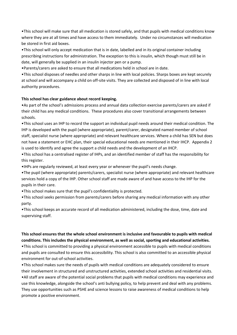•This school will make sure that all medication is stored safely, and that pupils with medical conditions know where they are at all times and have access to them immediately. Under no circumstances will medication be stored in first aid boxes.

•This school will only accept medication that is in date, labelled and in its original container including prescribing instructions for administration. The exception to this is insulin, which though must still be in date, will generally be supplied in an insulin injector pen or a pump.

•Parents/carers are asked to ensure that all medications held in school are in date.

•This school disposes of needles and other sharps in line with local policies. Sharps boxes are kept securely at school and will accompany a child on off-site visits. They are collected and disposed of in line with local authority procedures.

#### **This school has clear guidance about record keeping.**

•As part of the school's admissions process and annual data collection exercise parents/carers are asked if their child has any medical conditions. These procedures also cover transitional arrangements between schools.

•This school uses an IHP to record the support an individual pupil needs around their medical condition. The IHP is developed with the pupil (where appropriate), parent/carer, designated named member of school staff, specialist nurse (where appropriate) and relevant healthcare services. Where a child has SEN but does not have a statement or EHC plan, their special educational needs are mentioned in their IHCP. Appendix 2 is used to identify and agree the support a child needs and the development of an IHCP.

•This school has a centralised register of IHPs, and an identified member of staff has the responsibility for this register.

•IHPs are regularly reviewed, at least every year or whenever the pupil's needs change.

•The pupil (where appropriate) parents/carers, specialist nurse (where appropriate) and relevant healthcare services hold a copy of the IHP. Other school staff are made aware of and have access to the IHP for the pupils in their care.

•This school makes sure that the pupil's confidentiality is protected.

•This school seeks permission from parents/carers before sharing any medical information with any other party.

•This school keeps an accurate record of all medication administered, including the dose, time, date and supervising staff.

### **This school ensures that the whole school environment is inclusive and favourable to pupils with medical conditions. This includes the physical environment, as well as social, sporting and educational activities.**

•This school is committed to providing a physical environment accessible to pupils with medical conditions and pupils are consulted to ensure this accessibility. This school is also committed to an accessible physical environment for out-of-school activities.

•This school makes sure the needs of pupils with medical conditions are adequately considered to ensure their involvement in structured and unstructured activities, extended school activities and residential visits. •All staff are aware of the potential social problems that pupils with medical conditions may experience and use this knowledge, alongside the school's anti bullying policy, to help prevent and deal with any problems. They use opportunities such as PSHE and science lessons to raise awareness of medical conditions to help promote a positive environment.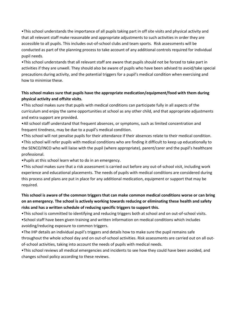•This school understands the importance of all pupils taking part in off site visits and physical activity and that all relevant staff make reasonable and appropriate adjustments to such activities in order they are accessible to all pupils. This includes out-of-school clubs and team sports. Risk assessments will be conducted as part of the planning process to take account of any additional controls required for individual pupil needs.

•This school understands that all relevant staff are aware that pupils should not be forced to take part in activities if they are unwell. They should also be aware of pupils who have been advised to avoid/take special precautions during activity, and the potential triggers for a pupil's medical condition when exercising and how to minimise these.

# **This school makes sure that pupils have the appropriate medication/equipment/food with them during physical activity and offsite visits.**

•This school makes sure that pupils with medical conditions can participate fully in all aspects of the curriculum and enjoy the same opportunities at school as any other child, and that appropriate adjustments and extra support are provided.

•All school staff understand that frequent absences, or symptoms, such as limited concentration and frequent tiredness, may be due to a pupil's medical condition.

•This school will not penalise pupils for their attendance if their absences relate to their medical condition.

•This school will refer pupils with medical conditions who are finding it difficult to keep up educationally to the SENCO/INCO who will liaise with the pupil (where appropriate), parent/carer and the pupil's healthcare professional.

•Pupils at this school learn what to do in an emergency.

•This school makes sure that a risk assessment is carried out before any out-of-school visit, including work experience and educational placements. The needs of pupils with medical conditions are considered during this process and plans are put in place for any additional medication, equipment or support that may be required.

# **This school is aware of the common triggers that can make common medical conditions worse or can bring on an emergency. The school is actively working towards reducing or eliminating these health and safety risks and has a written schedule of reducing specific triggers to support this.**

•This school is committed to identifying and reducing triggers both at school and on out-of-school visits. •School staff have been given training and written information on medical conditions which includes

avoiding/reducing exposure to common triggers.

•The IHP details an individual pupil's triggers and details how to make sure the pupil remains safe throughout the whole school day and on out-of-school activities. Risk assessments are carried out on all outof-school activities, taking into account the needs of pupils with medical needs.

•This school reviews all medical emergencies and incidents to see how they could have been avoided, and changes school policy according to these reviews.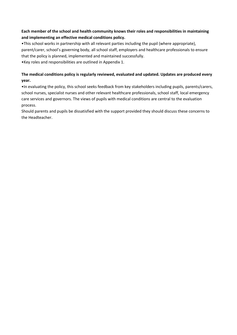# **Each member of the school and health community knows their roles and responsibilities in maintaining and implementing an effective medical conditions policy.**

•This school works in partnership with all relevant parties including the pupil (where appropriate), parent/carer, school's governing body, all school staff, employers and healthcare professionals to ensure that the policy is planned, implemented and maintained successfully.

•Key roles and responsibilities are outlined in Appendix 1.

# **The medical conditions policy is regularly reviewed, evaluated and updated. Updates are produced every year.**

•In evaluating the policy, this school seeks feedback from key stakeholders including pupils, parents/carers, school nurses, specialist nurses and other relevant healthcare professionals, school staff, local emergency care services and governors. The views of pupils with medical conditions are central to the evaluation process.

Should parents and pupils be dissatisfied with the support provided they should discuss these concerns to the Headteacher.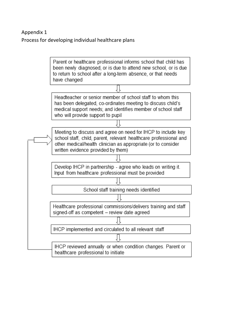# Appendix 1 Process for developing individual healthcare plans

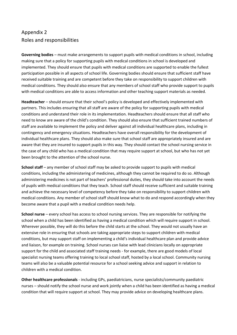# Appendix 2 Roles and responsibilities

**Governing bodies** – must make arrangements to support pupils with medical conditions in school, including making sure that a policy for supporting pupils with medical conditions in school is developed and implemented. They should ensure that pupils with medical conditions are supported to enable the fullest participation possible in all aspects of school life. Governing bodies should ensure that sufficient staff have received suitable training and are competent before they take on responsibility to support children with medical conditions. They should also ensure that any members of school staff who provide support to pupils with medical conditions are able to access information and other teaching support materials as needed.

**Headteacher** – should ensure that their school's policy is developed and effectively implemented with partners. This includes ensuring that all staff are aware of the policy for supporting pupils with medical conditions and understand their role in its implementation. Headteachers should ensure that all staff who need to know are aware of the child's condition. They should also ensure that sufficient trained numbers of staff are available to implement the policy and deliver against all individual healthcare plans, including in contingency and emergency situations. Headteachers have overall responsibility for the development of individual healthcare plans. They should also make sure that school staff are appropriately insured and are aware that they are insured to support pupils in this way. They should contact the school nursing service in the case of any child who has a medical condition that may require support at school, but who has not yet been brought to the attention of the school nurse.

**School staff** – any member of school staff may be asked to provide support to pupils with medical conditions, including the administering of medicines, although they cannot be required to do so. Although administering medicines is not part of teachers' professional duties, they should take into account the needs of pupils with medical conditions that they teach. School staff should receive sufficient and suitable training and achieve the necessary level of competency before they take on responsibility to support children with medical conditions. Any member of school staff should know what to do and respond accordingly when they become aware that a pupil with a medical condition needs help.

**School nurse** – every school has access to school nursing services. They are responsible for notifying the school when a child has been identified as having a medical condition which will require support in school. Wherever possible, they will do this before the child starts at the school. They would not usually have an extensive role in ensuring that schools are taking appropriate steps to support children with medical conditions, but may support staff on implementing a child's individual healthcare plan and provide advice and liaison, for example on training. School nurses can liaise with lead clinicians locally on appropriate support for the child and associated staff training needs - for example, there are good models of local specialist nursing teams offering training to local school staff, hosted by a local school. Community nursing teams will also be a valuable potential resource for a school seeking advice and support in relation to children with a medical condition.

**Other healthcare professionals** - including GPs, paediatricians, nurse specialists/community paediatric nurses – should notify the school nurse and work jointly when a child has been identified as having a medical condition that will require support at school. They may provide advice on developing healthcare plans.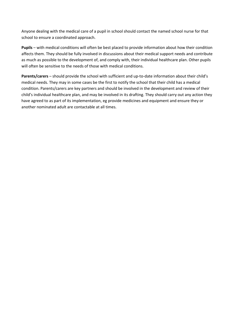Anyone dealing with the medical care of a pupil in school should contact the named school nurse for that school to ensure a coordinated approach.

**Pupils** – with medical conditions will often be best placed to provide information about how their condition affects them. They should be fully involved in discussions about their medical support needs and contribute as much as possible to the development of, and comply with, their individual healthcare plan. Other pupils will often be sensitive to the needs of those with medical conditions.

**Parents/carers** – should provide the school with sufficient and up-to-date information about their child's medical needs. They may in some cases be the first to notify the school that their child has a medical condition. Parents/carers are key partners and should be involved in the development and review of their child's individual healthcare plan, and may be involved in its drafting. They should carry out any action they have agreed to as part of its implementation, eg provide medicines and equipment and ensure they or another nominated adult are contactable at all times.